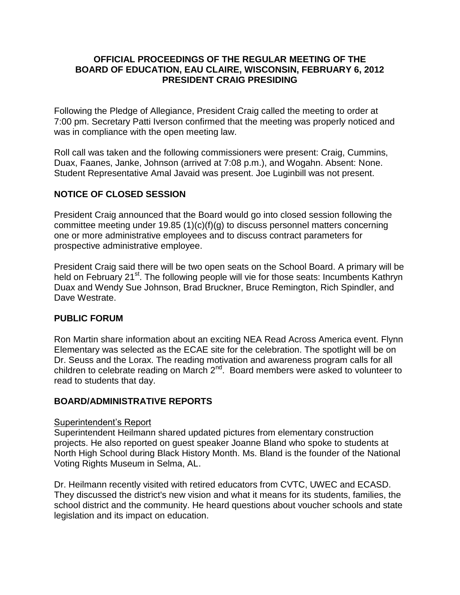#### **OFFICIAL PROCEEDINGS OF THE REGULAR MEETING OF THE BOARD OF EDUCATION, EAU CLAIRE, WISCONSIN, FEBRUARY 6, 2012 PRESIDENT CRAIG PRESIDING**

Following the Pledge of Allegiance, President Craig called the meeting to order at 7:00 pm. Secretary Patti Iverson confirmed that the meeting was properly noticed and was in compliance with the open meeting law.

Roll call was taken and the following commissioners were present: Craig, Cummins, Duax, Faanes, Janke, Johnson (arrived at 7:08 p.m.), and Wogahn. Absent: None. Student Representative Amal Javaid was present. Joe Luginbill was not present.

# **NOTICE OF CLOSED SESSION**

President Craig announced that the Board would go into closed session following the committee meeting under 19.85 (1)(c)(f)(g) to discuss personnel matters concerning one or more administrative employees and to discuss contract parameters for prospective administrative employee.

President Craig said there will be two open seats on the School Board. A primary will be held on February 21<sup>st</sup>. The following people will vie for those seats: Incumbents Kathryn Duax and Wendy Sue Johnson, Brad Bruckner, Bruce Remington, Rich Spindler, and Dave Westrate.

#### **PUBLIC FORUM**

Ron Martin share information about an exciting NEA Read Across America event. Flynn Elementary was selected as the ECAE site for the celebration. The spotlight will be on Dr. Seuss and the Lorax. The reading motivation and awareness program calls for all children to celebrate reading on March  $2<sup>nd</sup>$ . Board members were asked to volunteer to read to students that day.

#### **BOARD/ADMINISTRATIVE REPORTS**

#### Superintendent's Report

Superintendent Heilmann shared updated pictures from elementary construction projects. He also reported on guest speaker Joanne Bland who spoke to students at North High School during Black History Month. Ms. Bland is the founder of the National Voting Rights Museum in Selma, AL.

Dr. Heilmann recently visited with retired educators from CVTC, UWEC and ECASD. They discussed the district's new vision and what it means for its students, families, the school district and the community. He heard questions about voucher schools and state legislation and its impact on education.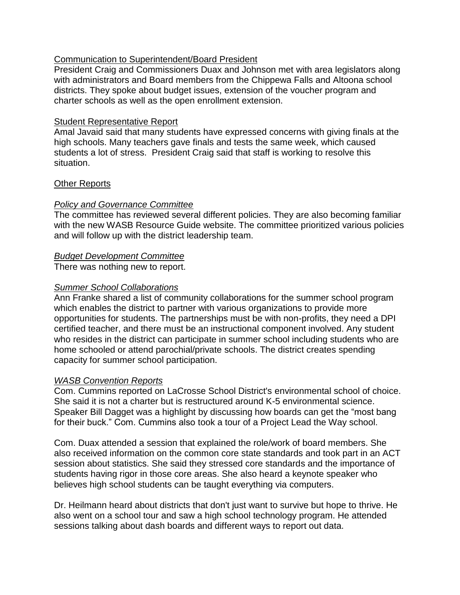### Communication to Superintendent/Board President

President Craig and Commissioners Duax and Johnson met with area legislators along with administrators and Board members from the Chippewa Falls and Altoona school districts. They spoke about budget issues, extension of the voucher program and charter schools as well as the open enrollment extension.

### Student Representative Report

Amal Javaid said that many students have expressed concerns with giving finals at the high schools. Many teachers gave finals and tests the same week, which caused students a lot of stress. President Craig said that staff is working to resolve this situation.

# Other Reports

# *Policy and Governance Committee*

The committee has reviewed several different policies. They are also becoming familiar with the new WASB Resource Guide website. The committee prioritized various policies and will follow up with the district leadership team.

# *Budget Development Committee*

There was nothing new to report.

# *Summer School Collaborations*

Ann Franke shared a list of community collaborations for the summer school program which enables the district to partner with various organizations to provide more opportunities for students. The partnerships must be with non-profits, they need a DPI certified teacher, and there must be an instructional component involved. Any student who resides in the district can participate in summer school including students who are home schooled or attend parochial/private schools. The district creates spending capacity for summer school participation.

# *WASB Convention Reports*

Com. Cummins reported on LaCrosse School District's environmental school of choice. She said it is not a charter but is restructured around K-5 environmental science. Speaker Bill Dagget was a highlight by discussing how boards can get the "most bang for their buck." Com. Cummins also took a tour of a Project Lead the Way school.

Com. Duax attended a session that explained the role/work of board members. She also received information on the common core state standards and took part in an ACT session about statistics. She said they stressed core standards and the importance of students having rigor in those core areas. She also heard a keynote speaker who believes high school students can be taught everything via computers.

Dr. Heilmann heard about districts that don't just want to survive but hope to thrive. He also went on a school tour and saw a high school technology program. He attended sessions talking about dash boards and different ways to report out data.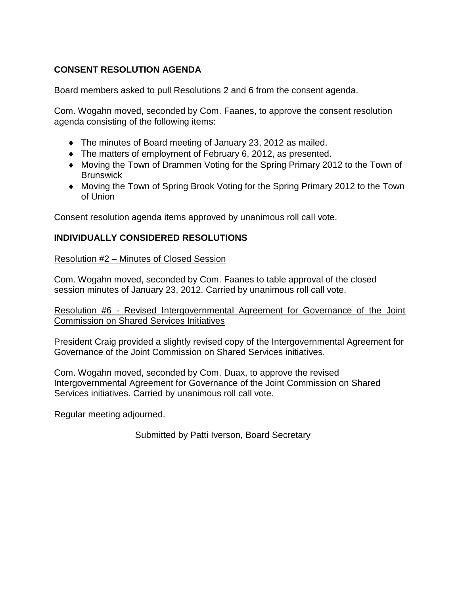# **CONSENT RESOLUTION AGENDA**

Board members asked to pull Resolutions 2 and 6 from the consent agenda.

Com. Wogahn moved, seconded by Com. Faanes, to approve the consent resolution agenda consisting of the following items:

- The minutes of Board meeting of January 23, 2012 as mailed.
- The matters of employment of February 6, 2012, as presented.
- Moving the Town of Drammen Voting for the Spring Primary 2012 to the Town of **Brunswick**
- Moving the Town of Spring Brook Voting for the Spring Primary 2012 to the Town of Union

Consent resolution agenda items approved by unanimous roll call vote.

# **INDIVIDUALLY CONSIDERED RESOLUTIONS**

Resolution #2 – Minutes of Closed Session

Com. Wogahn moved, seconded by Com. Faanes to table approval of the closed session minutes of January 23, 2012. Carried by unanimous roll call vote.

Resolution #6 - Revised Intergovernmental Agreement for Governance of the Joint Commission on Shared Services Initiatives

President Craig provided a slightly revised copy of the Intergovernmental Agreement for Governance of the Joint Commission on Shared Services initiatives.

Com. Wogahn moved, seconded by Com. Duax, to approve the revised Intergovernmental Agreement for Governance of the Joint Commission on Shared Services initiatives. Carried by unanimous roll call vote.

Regular meeting adjourned.

Submitted by Patti Iverson, Board Secretary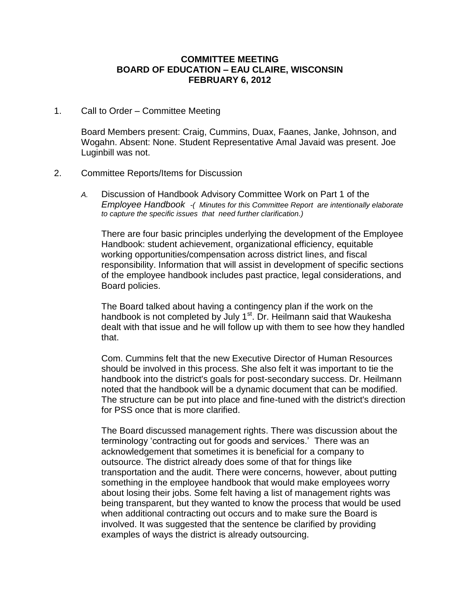#### **COMMITTEE MEETING BOARD OF EDUCATION – EAU CLAIRE, WISCONSIN FEBRUARY 6, 2012**

1. Call to Order – Committee Meeting

Board Members present: Craig, Cummins, Duax, Faanes, Janke, Johnson, and Wogahn. Absent: None. Student Representative Amal Javaid was present. Joe Luginbill was not.

#### 2. Committee Reports/Items for Discussion

*A.* Discussion of Handbook Advisory Committee Work on Part 1 of the *Employee Handbook -( Minutes for this Committee Report are intentionally elaborate to capture the specific issues that need further clarification.)* 

There are four basic principles underlying the development of the Employee Handbook: student achievement, organizational efficiency, equitable working opportunities/compensation across district lines, and fiscal responsibility. Information that will assist in development of specific sections of the employee handbook includes past practice, legal considerations, and Board policies.

The Board talked about having a contingency plan if the work on the handbook is not completed by July 1<sup>st</sup>. Dr. Heilmann said that Waukesha dealt with that issue and he will follow up with them to see how they handled that.

Com. Cummins felt that the new Executive Director of Human Resources should be involved in this process. She also felt it was important to tie the handbook into the district's goals for post-secondary success. Dr. Heilmann noted that the handbook will be a dynamic document that can be modified. The structure can be put into place and fine-tuned with the district's direction for PSS once that is more clarified.

The Board discussed management rights. There was discussion about the terminology 'contracting out for goods and services.' There was an acknowledgement that sometimes it is beneficial for a company to outsource. The district already does some of that for things like transportation and the audit. There were concerns, however, about putting something in the employee handbook that would make employees worry about losing their jobs. Some felt having a list of management rights was being transparent, but they wanted to know the process that would be used when additional contracting out occurs and to make sure the Board is involved. It was suggested that the sentence be clarified by providing examples of ways the district is already outsourcing.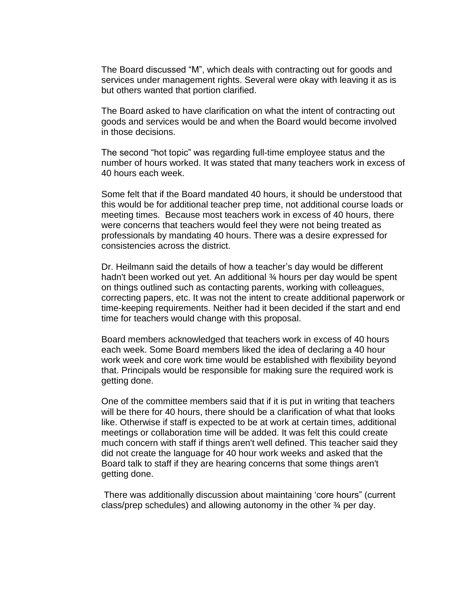The Board discussed "M", which deals with contracting out for goods and services under management rights. Several were okay with leaving it as is but others wanted that portion clarified.

The Board asked to have clarification on what the intent of contracting out goods and services would be and when the Board would become involved in those decisions.

The second "hot topic" was regarding full-time employee status and the number of hours worked. It was stated that many teachers work in excess of 40 hours each week.

Some felt that if the Board mandated 40 hours, it should be understood that this would be for additional teacher prep time, not additional course loads or meeting times. Because most teachers work in excess of 40 hours, there were concerns that teachers would feel they were not being treated as professionals by mandating 40 hours. There was a desire expressed for consistencies across the district.

Dr. Heilmann said the details of how a teacher's day would be different hadn't been worked out yet. An additional 34 hours per day would be spent on things outlined such as contacting parents, working with colleagues, correcting papers, etc. It was not the intent to create additional paperwork or time-keeping requirements. Neither had it been decided if the start and end time for teachers would change with this proposal.

Board members acknowledged that teachers work in excess of 40 hours each week. Some Board members liked the idea of declaring a 40 hour work week and core work time would be established with flexibility beyond that. Principals would be responsible for making sure the required work is getting done.

One of the committee members said that if it is put in writing that teachers will be there for 40 hours, there should be a clarification of what that looks like. Otherwise if staff is expected to be at work at certain times, additional meetings or collaboration time will be added. It was felt this could create much concern with staff if things aren't well defined. This teacher said they did not create the language for 40 hour work weeks and asked that the Board talk to staff if they are hearing concerns that some things aren't getting done.

There was additionally discussion about maintaining 'core hours" (current class/prep schedules) and allowing autonomy in the other ¾ per day.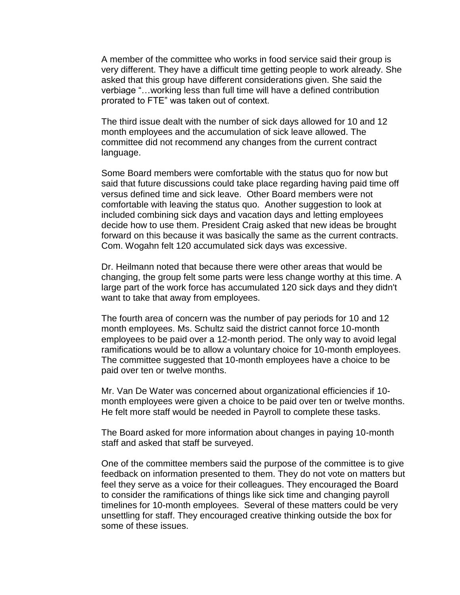A member of the committee who works in food service said their group is very different. They have a difficult time getting people to work already. She asked that this group have different considerations given. She said the verbiage "…working less than full time will have a defined contribution prorated to FTE" was taken out of context.

The third issue dealt with the number of sick days allowed for 10 and 12 month employees and the accumulation of sick leave allowed. The committee did not recommend any changes from the current contract language.

Some Board members were comfortable with the status quo for now but said that future discussions could take place regarding having paid time off versus defined time and sick leave. Other Board members were not comfortable with leaving the status quo. Another suggestion to look at included combining sick days and vacation days and letting employees decide how to use them. President Craig asked that new ideas be brought forward on this because it was basically the same as the current contracts. Com. Wogahn felt 120 accumulated sick days was excessive.

Dr. Heilmann noted that because there were other areas that would be changing, the group felt some parts were less change worthy at this time. A large part of the work force has accumulated 120 sick days and they didn't want to take that away from employees.

The fourth area of concern was the number of pay periods for 10 and 12 month employees. Ms. Schultz said the district cannot force 10-month employees to be paid over a 12-month period. The only way to avoid legal ramifications would be to allow a voluntary choice for 10-month employees. The committee suggested that 10-month employees have a choice to be paid over ten or twelve months.

Mr. Van De Water was concerned about organizational efficiencies if 10 month employees were given a choice to be paid over ten or twelve months. He felt more staff would be needed in Payroll to complete these tasks.

The Board asked for more information about changes in paying 10-month staff and asked that staff be surveyed.

One of the committee members said the purpose of the committee is to give feedback on information presented to them. They do not vote on matters but feel they serve as a voice for their colleagues. They encouraged the Board to consider the ramifications of things like sick time and changing payroll timelines for 10-month employees. Several of these matters could be very unsettling for staff. They encouraged creative thinking outside the box for some of these issues.